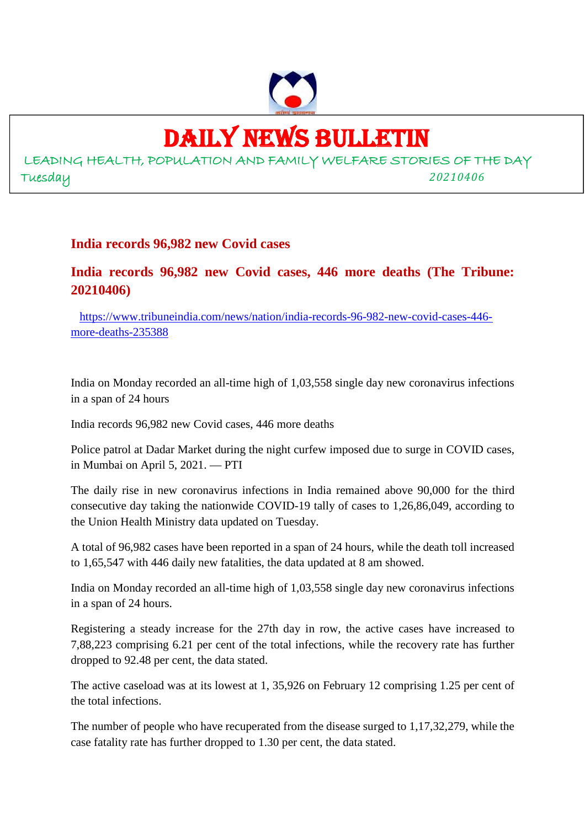

## DAILY NEWS BULLETIN

LEADING HEALTH, POPULATION AND FAMILY WELFARE STORIES OF THE DAY Tuesday *20210406*

#### **India records 96,982 new Covid cases**

#### **India records 96,982 new Covid cases, 446 more deaths (The Tribune: 20210406)**

https://www.tribuneindia.com/news/nation/india-records-96-982-new-covid-cases-446 more-deaths-235388

India on Monday recorded an all-time high of 1,03,558 single day new coronavirus infections in a span of 24 hours

India records 96,982 new Covid cases, 446 more deaths

Police patrol at Dadar Market during the night curfew imposed due to surge in COVID cases, in Mumbai on April 5, 2021. — PTI

The daily rise in new coronavirus infections in India remained above 90,000 for the third consecutive day taking the nationwide COVID-19 tally of cases to 1,26,86,049, according to the Union Health Ministry data updated on Tuesday.

A total of 96,982 cases have been reported in a span of 24 hours, while the death toll increased to 1,65,547 with 446 daily new fatalities, the data updated at 8 am showed.

India on Monday recorded an all-time high of 1,03,558 single day new coronavirus infections in a span of 24 hours.

Registering a steady increase for the 27th day in row, the active cases have increased to 7,88,223 comprising 6.21 per cent of the total infections, while the recovery rate has further dropped to 92.48 per cent, the data stated.

The active caseload was at its lowest at 1, 35,926 on February 12 comprising 1.25 per cent of the total infections.

The number of people who have recuperated from the disease surged to 1,17,32,279, while the case fatality rate has further dropped to 1.30 per cent, the data stated.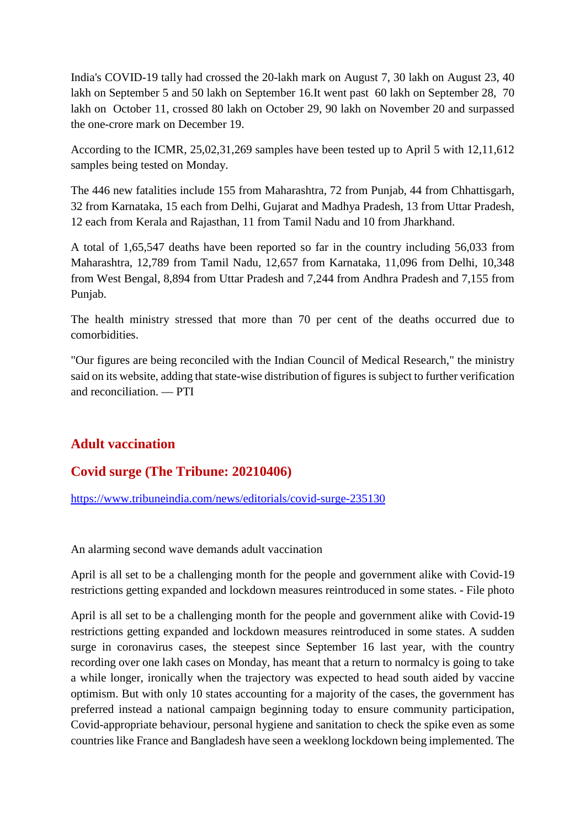India's COVID-19 tally had crossed the 20-lakh mark on August 7, 30 lakh on August 23, 40 lakh on September 5 and 50 lakh on September 16.It went past 60 lakh on September 28, 70 lakh on October 11, crossed 80 lakh on October 29, 90 lakh on November 20 and surpassed the one-crore mark on December 19.

According to the ICMR, 25,02,31,269 samples have been tested up to April 5 with 12,11,612 samples being tested on Monday.

The 446 new fatalities include 155 from Maharashtra, 72 from Punjab, 44 from Chhattisgarh, 32 from Karnataka, 15 each from Delhi, Gujarat and Madhya Pradesh, 13 from Uttar Pradesh, 12 each from Kerala and Rajasthan, 11 from Tamil Nadu and 10 from Jharkhand.

A total of 1,65,547 deaths have been reported so far in the country including 56,033 from Maharashtra, 12,789 from Tamil Nadu, 12,657 from Karnataka, 11,096 from Delhi, 10,348 from West Bengal, 8,894 from Uttar Pradesh and 7,244 from Andhra Pradesh and 7,155 from Punjab.

The health ministry stressed that more than 70 per cent of the deaths occurred due to comorbidities.

"Our figures are being reconciled with the Indian Council of Medical Research," the ministry said on its website, adding that state-wise distribution of figures is subject to further verification and reconciliation. — PTI

#### **Adult vaccination**

#### **Covid surge (The Tribune: 20210406)**

https://www.tribuneindia.com/news/editorials/covid-surge-235130

An alarming second wave demands adult vaccination

April is all set to be a challenging month for the people and government alike with Covid-19 restrictions getting expanded and lockdown measures reintroduced in some states. - File photo

April is all set to be a challenging month for the people and government alike with Covid-19 restrictions getting expanded and lockdown measures reintroduced in some states. A sudden surge in coronavirus cases, the steepest since September 16 last year, with the country recording over one lakh cases on Monday, has meant that a return to normalcy is going to take a while longer, ironically when the trajectory was expected to head south aided by vaccine optimism. But with only 10 states accounting for a majority of the cases, the government has preferred instead a national campaign beginning today to ensure community participation, Covid-appropriate behaviour, personal hygiene and sanitation to check the spike even as some countries like France and Bangladesh have seen a weeklong lockdown being implemented. The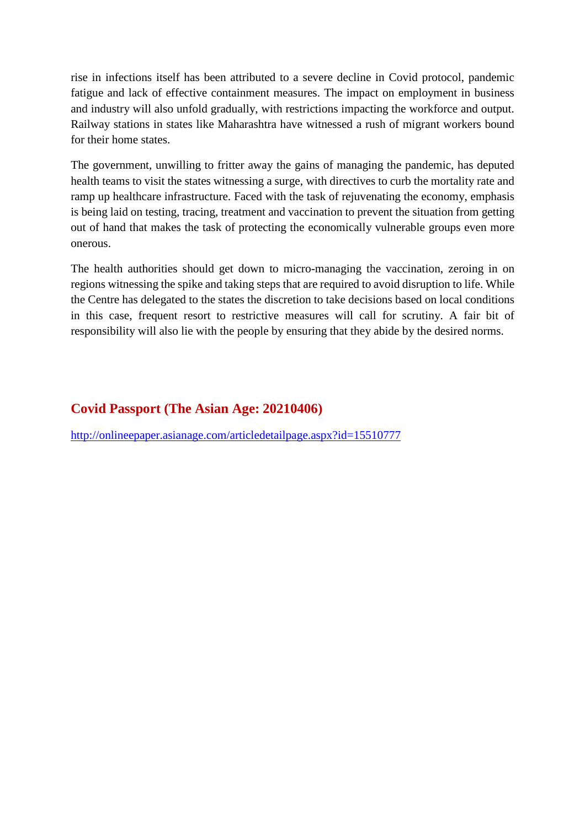rise in infections itself has been attributed to a severe decline in Covid protocol, pandemic fatigue and lack of effective containment measures. The impact on employment in business and industry will also unfold gradually, with restrictions impacting the workforce and output. Railway stations in states like Maharashtra have witnessed a rush of migrant workers bound for their home states.

The government, unwilling to fritter away the gains of managing the pandemic, has deputed health teams to visit the states witnessing a surge, with directives to curb the mortality rate and ramp up healthcare infrastructure. Faced with the task of rejuvenating the economy, emphasis is being laid on testing, tracing, treatment and vaccination to prevent the situation from getting out of hand that makes the task of protecting the economically vulnerable groups even more onerous.

The health authorities should get down to micro-managing the vaccination, zeroing in on regions witnessing the spike and taking steps that are required to avoid disruption to life. While the Centre has delegated to the states the discretion to take decisions based on local conditions in this case, frequent resort to restrictive measures will call for scrutiny. A fair bit of responsibility will also lie with the people by ensuring that they abide by the desired norms.

#### **Covid Passport (The Asian Age: 20210406)**

http://onlineepaper.asianage.com/articledetailpage.aspx?id=15510777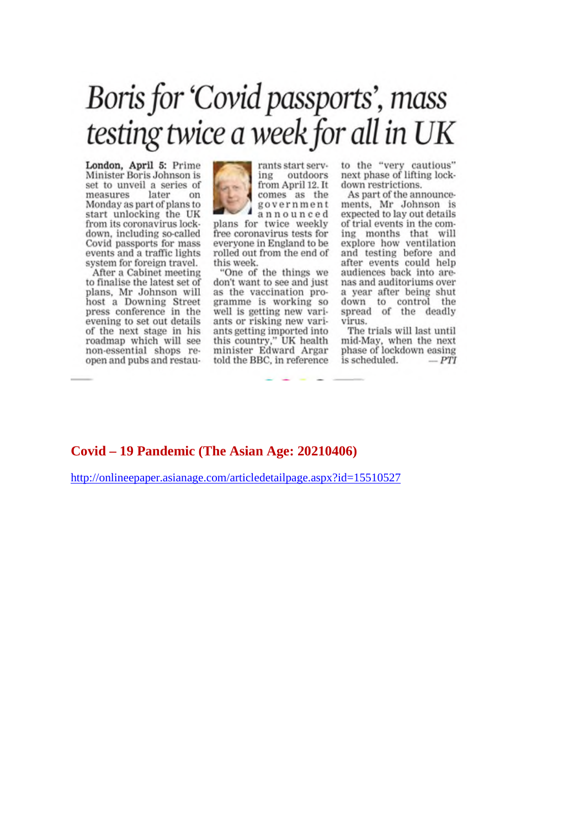# Boris for 'Covid passports', mass testing twice a week for all in UK

London, April 5: Prime Minister Boris Johnson is set to unveil a series of measures later on Monday as part of plans to start unlocking the UK from its coronavirus lockdown, including so-called Covid passports for mass events and a traffic lights system for foreign travel.

After a Cabinet meeting to finalise the latest set of plans, Mr Johnson will host a Downing Street press conference in the evening to set out details of the next stage in his roadmap which will see non-essential shops reopen and pubs and restau-



rants start serving outdoors from April 12. It comes as the government

announced plans for twice weekly free coronavirus tests for everyone in England to be rolled out from the end of this week.

"One of the things we don't want to see and just as the vaccination programme is working so well is getting new variants or risking new variants getting imported into this country," UK health<br>minister Edward Argar told the BBC, in reference to the "very cautious"<br>next phase of lifting lockdown restrictions.

As part of the announcements, Mr Johnson is expected to lay out details of trial events in the coming months that will explore how ventilation<br>and testing before and after events could help audiences back into arenas and auditoriums over a year after being shut<br>down to control the<br>spread of the deadly virus.

The trials will last until mid-May, when the next<br>phase of lockdown easing is scheduled.  $-PTI$ 

#### Covid – 19 Pandemic (The Asian Age: 20210406)

http://onlineepaper.asianage.com/articledetailpage.aspx?id=15510527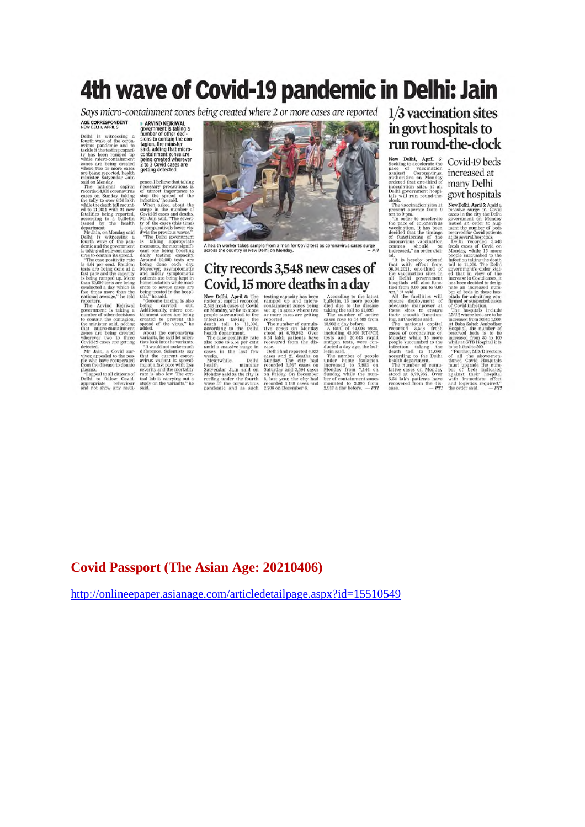## 4th wave of Covid-19 pandemic in Delhi: Jain

Says micro-containment zones being created where 2 or more cases are reported

#### AGE CORRESPONDENT

The AWIND KERIWAL<br>
Sovernment is taking a<br>
number of other deci-<br>
sions to contain the con-<br>
tagion, the minister<br>
tagin, the minister<br>
containment zones<br>
2 to 3 Covid cases are<br>
2 to 3 Covid cases are<br>
2 to 3 Covid cases

AGE CORRESPONDENT **a ARVIND KEIRIWAL**<br>NEW DERIVAL NEW DERIVAL NEW DERIVAL NEW DERIVAL NEW DERIVAL TREM in grower met is taking a number of other decident<br>fourth varies of the coronic assumed sail on the minister and the f



A health worker takes sample from a man for Covid test as coronavirus cases surge<br>across the country in New Delhi on Monday.  $-$  PTI

#### City records 3.548 new cases of Covid, 15 more deaths in a day

**COVICE, ID INDITE CIENTIES III A CLAY**<br>New Delhi, April 5: The testing capacity has been according to the latest<br>according to the distribution of the correlation of the properties of Monday while is prove computed the ma

#### 1/3 vaccination sites in govt hospitals to run round-the-clock

**TUIN FOUND d-the-clock New Delhi, April 5:** Covid-19 beds New Delhi, April 5: Covid-19 beds New New Methins increased at a space of vaccination into the space of the symphony and an increased by the section of the method

#### **Covid Passport (The Asian Age: 20210406)**

http://onlineepaper.asianage.com/articledetailpage.aspx?id=15510549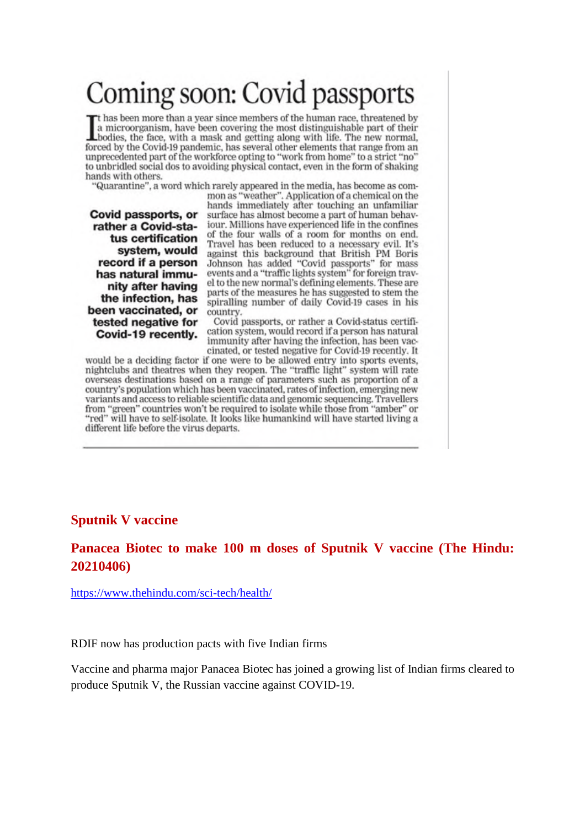# Coming soon: Covid passports

t has been more than a year since members of the human race, threatened by a microorganism, have been covering the most distinguishable part of their bodies, the face, with a mask and getting along with life. The new normal, forced by the Covid-19 pandemic, has several other elements that range from an unprecedented part of the workforce opting to "work from home" to a strict "no" to unbridled social dos to avoiding physical contact, even in the form of shaking hands with others.

"Quarantine", a word which rarely appeared in the media, has become as com-

Covid passports, or rather a Covid-status certification system, would record if a person has natural immunity after having the infection, has been vaccinated, or tested negative for Covid-19 recently.

mon as "weather". Application of a chemical on the hands immediately after touching an unfamiliar surface has almost become a part of human behaviour. Millions have experienced life in the confines of the four walls of a room for months on end. Travel has been reduced to a necessary evil. It's against this background that British PM Boris<br>Johnson has added "Covid passports" for mass events and a "traffic lights system" for foreign travel to the new normal's defining elements. These are parts of the measures he has suggested to stem the spiralling number of daily Covid-19 cases in his country.

Covid passports, or rather a Covid-status certification system, would record if a person has natural immunity after having the infection, has been vaccinated, or tested negative for Covid-19 recently. It

would be a deciding factor if one were to be allowed entry into sports events. nightclubs and theatres when they reopen. The "traffic light" system will rate overseas destinations based on a range of parameters such as proportion of a country's population which has been vaccinated, rates of infection, emerging new variants and access to reliable scientific data and genomic sequencing. Travellers from "green" countries won't be required to isolate while those from "amber" or "red" will have to self-isolate. It looks like humankind will have started living a different life before the virus departs.

#### **Sputnik V vaccine**

#### **Panacea Biotec to make 100 m doses of Sputnik V vaccine (The Hindu: 20210406)**

https://www.thehindu.com/sci-tech/health/

RDIF now has production pacts with five Indian firms

Vaccine and pharma major Panacea Biotec has joined a growing list of Indian firms cleared to produce Sputnik V, the Russian vaccine against COVID-19.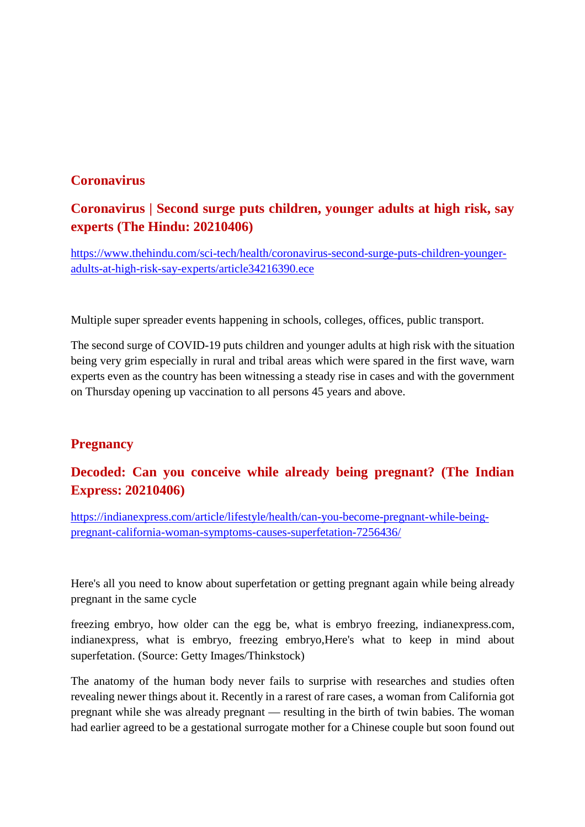#### **Coronavirus**

#### **Coronavirus | Second surge puts children, younger adults at high risk, say experts (The Hindu: 20210406)**

https://www.thehindu.com/sci-tech/health/coronavirus-second-surge-puts-children-youngeradults-at-high-risk-say-experts/article34216390.ece

Multiple super spreader events happening in schools, colleges, offices, public transport.

The second surge of COVID-19 puts children and younger adults at high risk with the situation being very grim especially in rural and tribal areas which were spared in the first wave, warn experts even as the country has been witnessing a steady rise in cases and with the government on Thursday opening up vaccination to all persons 45 years and above.

#### **Pregnancy**

#### **Decoded: Can you conceive while already being pregnant? (The Indian Express: 20210406)**

https://indianexpress.com/article/lifestyle/health/can-you-become-pregnant-while-beingpregnant-california-woman-symptoms-causes-superfetation-7256436/

Here's all you need to know about superfetation or getting pregnant again while being already pregnant in the same cycle

freezing embryo, how older can the egg be, what is embryo freezing, indianexpress.com, indianexpress, what is embryo, freezing embryo,Here's what to keep in mind about superfetation. (Source: Getty Images/Thinkstock)

The anatomy of the human body never fails to surprise with researches and studies often revealing newer things about it. Recently in a rarest of rare cases, a woman from California got pregnant while she was already pregnant — resulting in the birth of twin babies. The woman had earlier agreed to be a gestational surrogate mother for a Chinese couple but soon found out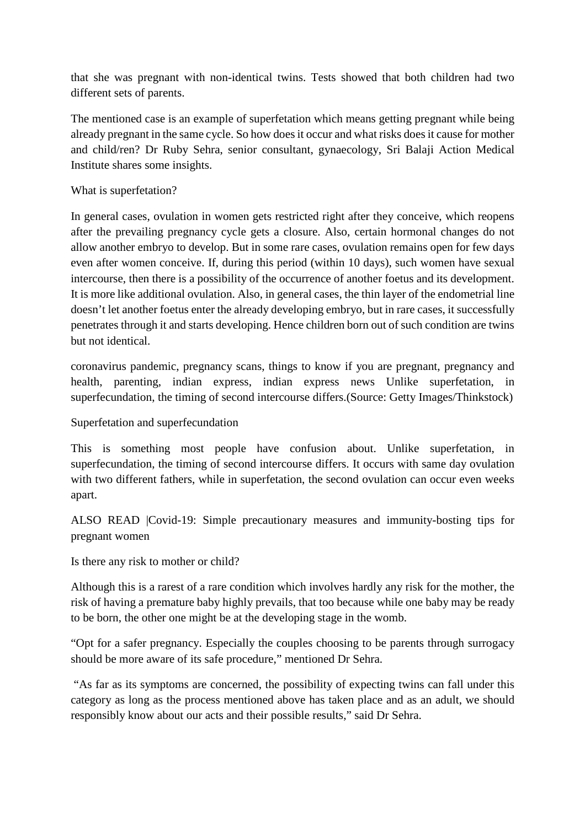that she was pregnant with non-identical twins. Tests showed that both children had two different sets of parents.

The mentioned case is an example of superfetation which means getting pregnant while being already pregnant in the same cycle. So how does it occur and what risks does it cause for mother and child/ren? Dr Ruby Sehra, senior consultant, gynaecology, Sri Balaji Action Medical Institute shares some insights.

#### What is superfetation?

In general cases, ovulation in women gets restricted right after they conceive, which reopens after the prevailing pregnancy cycle gets a closure. Also, certain hormonal changes do not allow another embryo to develop. But in some rare cases, ovulation remains open for few days even after women conceive. If, during this period (within 10 days), such women have sexual intercourse, then there is a possibility of the occurrence of another foetus and its development. It is more like additional ovulation. Also, in general cases, the thin layer of the endometrial line doesn't let another foetus enter the already developing embryo, but in rare cases, it successfully penetrates through it and starts developing. Hence children born out of such condition are twins but not identical.

coronavirus pandemic, pregnancy scans, things to know if you are pregnant, pregnancy and health, parenting, indian express, indian express news Unlike superfetation, in superfecundation, the timing of second intercourse differs.(Source: Getty Images/Thinkstock)

Superfetation and superfecundation

This is something most people have confusion about. Unlike superfetation, in superfecundation, the timing of second intercourse differs. It occurs with same day ovulation with two different fathers, while in superfetation, the second ovulation can occur even weeks apart.

ALSO READ |Covid-19: Simple precautionary measures and immunity-bosting tips for pregnant women

Is there any risk to mother or child?

Although this is a rarest of a rare condition which involves hardly any risk for the mother, the risk of having a premature baby highly prevails, that too because while one baby may be ready to be born, the other one might be at the developing stage in the womb.

"Opt for a safer pregnancy. Especially the couples choosing to be parents through surrogacy should be more aware of its safe procedure," mentioned Dr Sehra.

"As far as its symptoms are concerned, the possibility of expecting twins can fall under this category as long as the process mentioned above has taken place and as an adult, we should responsibly know about our acts and their possible results," said Dr Sehra.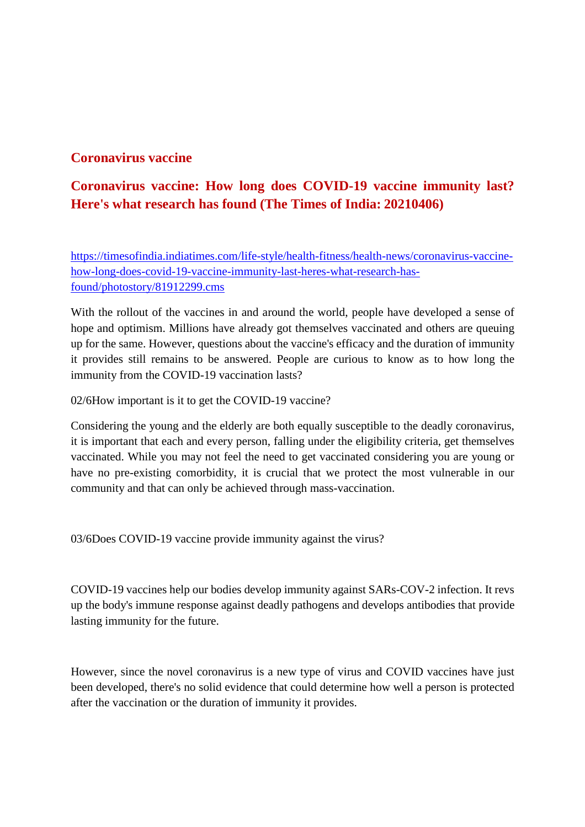#### **Coronavirus vaccine**

#### **Coronavirus vaccine: How long does COVID-19 vaccine immunity last? Here's what research has found (The Times of India: 20210406)**

https://timesofindia.indiatimes.com/life-style/health-fitness/health-news/coronavirus-vaccinehow-long-does-covid-19-vaccine-immunity-last-heres-what-research-hasfound/photostory/81912299.cms

With the rollout of the vaccines in and around the world, people have developed a sense of hope and optimism. Millions have already got themselves vaccinated and others are queuing up for the same. However, questions about the vaccine's efficacy and the duration of immunity it provides still remains to be answered. People are curious to know as to how long the immunity from the COVID-19 vaccination lasts?

02/6How important is it to get the COVID-19 vaccine?

Considering the young and the elderly are both equally susceptible to the deadly coronavirus, it is important that each and every person, falling under the eligibility criteria, get themselves vaccinated. While you may not feel the need to get vaccinated considering you are young or have no pre-existing comorbidity, it is crucial that we protect the most vulnerable in our community and that can only be achieved through mass-vaccination.

03/6Does COVID-19 vaccine provide immunity against the virus?

COVID-19 vaccines help our bodies develop immunity against SARs-COV-2 infection. It revs up the body's immune response against deadly pathogens and develops antibodies that provide lasting immunity for the future.

However, since the novel coronavirus is a new type of virus and COVID vaccines have just been developed, there's no solid evidence that could determine how well a person is protected after the vaccination or the duration of immunity it provides.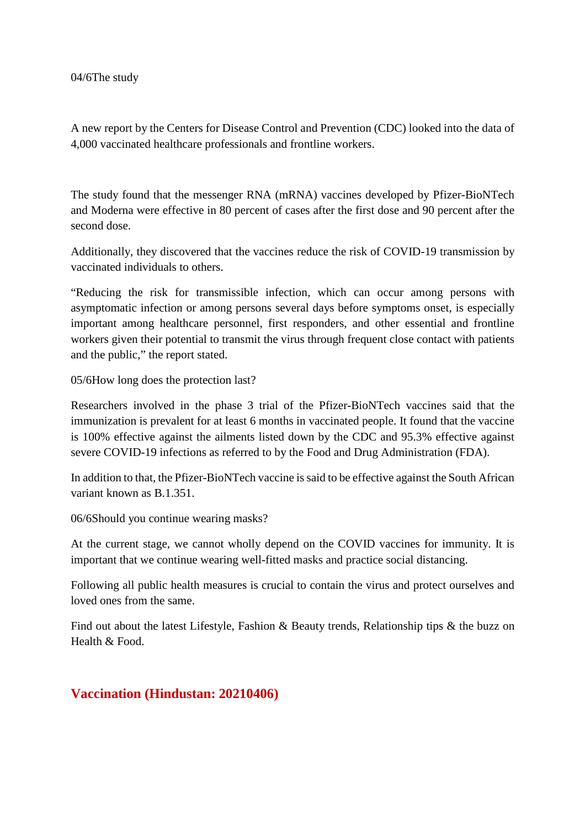#### 04/6The study

A new report by the Centers for Disease Control and Prevention (CDC) looked into the data of 4,000 vaccinated healthcare professionals and frontline workers.

The study found that the messenger RNA (mRNA) vaccines developed by Pfizer-BioNTech and Moderna were effective in 80 percent of cases after the first dose and 90 percent after the second dose.

Additionally, they discovered that the vaccines reduce the risk of COVID-19 transmission by vaccinated individuals to others.

"Reducing the risk for transmissible infection, which can occur among persons with asymptomatic infection or among persons several days before symptoms onset, is especially important among healthcare personnel, first responders, and other essential and frontline workers given their potential to transmit the virus through frequent close contact with patients and the public," the report stated.

05/6How long does the protection last?

Researchers involved in the phase 3 trial of the Pfizer-BioNTech vaccines said that the immunization is prevalent for at least 6 months in vaccinated people. It found that the vaccine is 100% effective against the ailments listed down by the CDC and 95.3% effective against severe COVID-19 infections as referred to by the Food and Drug Administration (FDA).

In addition to that, the Pfizer-BioNTech vaccine is said to be effective against the South African variant known as B.1.351.

06/6Should you continue wearing masks?

At the current stage, we cannot wholly depend on the COVID vaccines for immunity. It is important that we continue wearing well-fitted masks and practice social distancing.

Following all public health measures is crucial to contain the virus and protect ourselves and loved ones from the same.

Find out about the latest Lifestyle, Fashion & Beauty trends, Relationship tips & the buzz on Health & Food.

#### **Vaccination (Hindustan: 20210406)**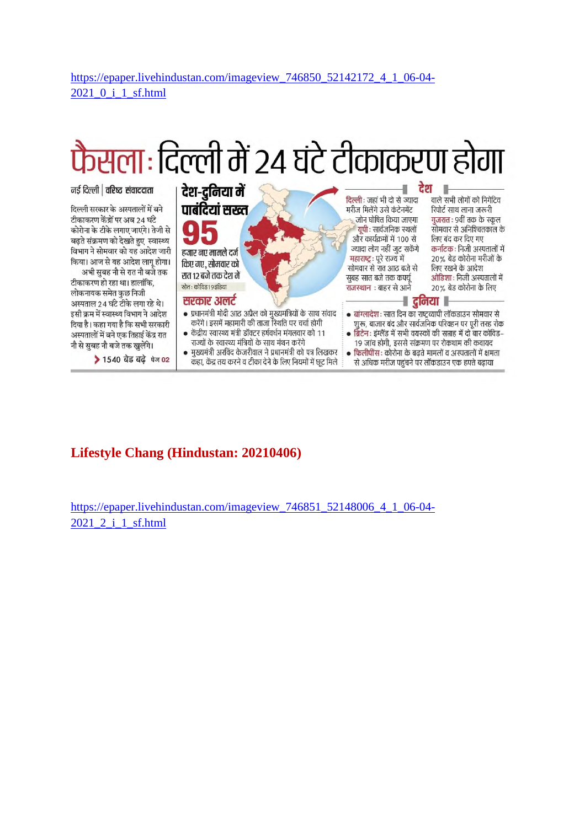https://epaper.livehindustan.com/imageview\_746850\_52142172\_4\_1\_06-04- 2021\_0\_i\_1\_sf.html

# फैसला: दिल्ली में २४ घंटे टीकाकरण होगा

नई दिल्ली | वरिष्ट संवाददाता

दिल्ली सरकार के अस्पतालों में बने टीकाकरण केंद्रों पर अब 24 घंटे कोरोना के टीके लगाए जाएंगे। तेजी से बढ़ते संक्रमण को देखते हुए स्वास्थ्य विभाग ने सोमवार को यह आदेश जारी किया। आज से यह आदेश लागू होगा।

अभी सुबह नौ से रात नौ बजे तक टीकाकरण हो रहा था। हालांकि, लोकनायक समेत कछ निजी अस्पताल 24 घंटे टीके लगा रहे थे। इसी क्रम में स्वास्थ्य विभाग ने आदेश दिया है। कहा गया है कि सभी सरकारी अस्पतालों में बने एक तिहाई केंद्र रात नौ से सबह नौ बजे तक खलेंगे।

▶ 1540 बेड बढे पेज 02



#### **Lifestyle Chang (Hindustan: 20210406)**

https://epaper.livehindustan.com/imageview\_746851\_52148006\_4\_1\_06-04- 2021 2 i 1 sf.html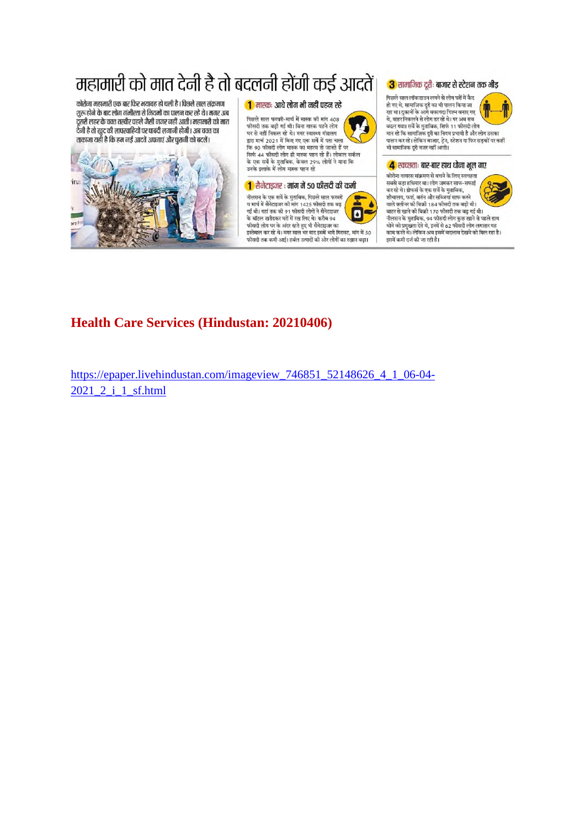## महामारी को मात देनी है तो बदलनी होंगी कई आदतें

कोरोना महामारी एक बार फिर भयावह हो चली है। पिछले साल संक्रमण<br>शुरू होने के बाद लोग गंभीरता से नियमों का पालन कर रहे थे। मगर अब ू<br>दूसरी लहर के वक्त तस्वीर पहले जैसी नजर नहीं आती। महामारी को मात<br>देनी है तो खुद की लापरवाहियों पर पाबंदी लगानी होगी। अब वक्त का ताकाजा यही है कि हम नई आदतें अपनाएं और पुरानी को बदलें।



<mark>ी</mark> मास्कः आधे लोग भी नहीं पहन रहे

.<br>पिछले साल फरवरी-मार्च में मास्क की मांग 408 .<br>फीसदी तक बढ़ी गई थी। बिना मास्क पहने लोग<br>घर से नहीं निकल रहे थे। मगर स्वास्थ्य मंत्रालय द्वारा मार्च 2021 में किए गए एक सर्वे में पता चला कि 90 फीसदी लोग मास्क का महत्व तो जानते हैं पर सिर्फ 44 फीसदी लोग ही मास्क पहन रहे हैं। लोकल सर्कल के एक सर्वे के मुताबिक, केवल 29% लोगों ने माना कि<br>उनके इलाके में लोग मास्क पहन रहे

#### ी शैनेटाइजर : मांग में 50 फीसदी की कमी

नौलसन के एक सर्वे के मुताबिक, पिछले साल फरवरी व मार्च में सैनेटाइजर की मांग 1425 फीसदी तक बढ़  $\bullet$ गई थी। यहां तक की 91 फीसदी लोगों ने सैनेटाइजर  $\blacksquare$ œ .<br>के बॉटल खरीदकर घरों में रख लिए थे। करीब 94 फीसदी लोग घर के अंदर रहते हुए भी सैनेटाइजर का इस्तेमाल कर रहे थे। मगर साल भर बाद इसमें भारी गिरावट, मांग में 50 फीसदी तक कमी आई। हर्बल उत्पादों की ओर लोगों का रुझान बढ़ा।

#### <mark>3</mark> सामाजिक दरी: बाजार से स्टेशन तक भीड

.<br>पिछले साल लॉकडाउन लगने से लोग घरों में कैद रहा था। दुकानों के आगे बकायदा चिह्न बनाए गए<br>थे, बाहर निकलने से लोग डर रहे थे। पर अब सब बदल गया। सर्वे के मुताबिक, सिर्फ 11 फीसदी लोग मान रहे कि सामाजिक दूरी का नियम प्रभावी है और लोग उसका पालन कर रहे। लेकिन बाजार, ट्रेन, स्टेशन या फिर सड़कों पर कहीं भी सामाजिक दूरी नजर नहीं आती।

#### 4 स्वच्छताः बार-बार हाथ धोना भूल गए

कोरोना वायरस संक्रमण से बचने के लिए स्वच्छत सबसे बड़ा हथियार था। लोग जमकर साफ-सफाई समा मेड़ा लामसा मारता का समारता है।<br>कर रहे थे। ग्रोफर्स के एक सर्वे के मुताबिक,<br>शौचालय, फर्श, बर्तन और सब्जियां साफ करने वाले क्लीनर की बिक्री 184 फीसदी तक बढ़ी थी। .<br>बाहर से खाने की बिक्री 170 फीसदी तक बढ़ गई थी।<br>नीलसन के मुताबिक, 94 फीसदी लोग कुछ खाने से पहले हाथ धोने को प्रमुखता देते थे, इनमें से 62 फीसदी लोग लगातार यह<br>काम करते थे। लेकिन अब इसमें बदलाव देखने को मिल रहा है। इसमें कमी दर्ज की जा रही है।

#### **Health Care Services (Hindustan: 20210406)**

https://epaper.livehindustan.com/imageview 746851 52148626 4 1 06-04-2021 2 i 1 sf.html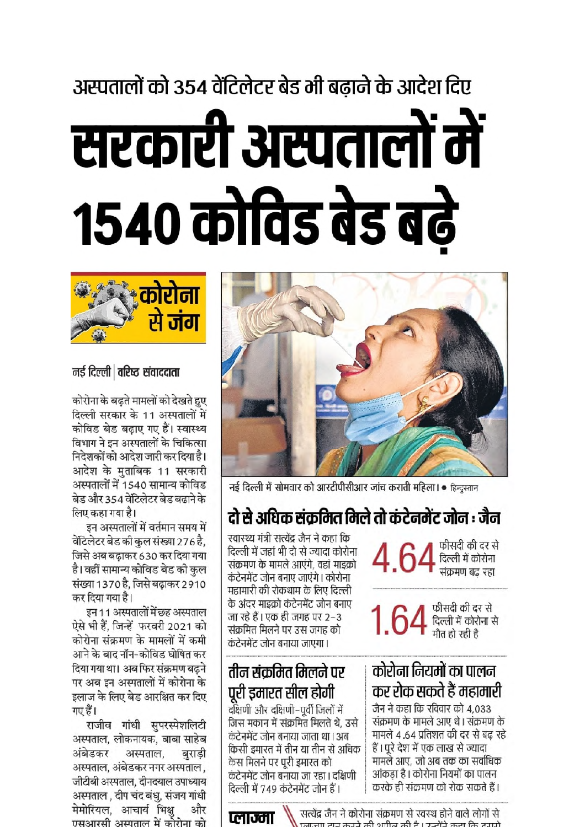# अस्पतालों को 354 वेंटिलेटर बेड भी बढ़ाने के आदेश दिए सरकारी अस्पतालों में 1540 कोविड बेड बढ़े



#### नई दिल्ली | वरिष्ट संवाददाता

कोरोना के बढ़ते मामलों को देखते हुए दिल्ली सरकार के 11 अस्पतालों में कोविड बेड बढाए गए हैं। स्वास्थ्य विभाग ने इन अस्पतालों के चिकित्सा निदेशकों को आदेश जारी कर दिया है। आदेश के मुताबिक 11 सरकारी अस्पतालों में 1540 सामान्य कोविड बेड और 354 वेंटिलेटर बेड बढाने के लिए कहा गया है।

इन अस्पतालों में वर्तमान समय में वेंटिलेटर बेड की कुल संख्या 276 है, जिसे अब बढ़ाकर 630 कर दिया गया है। वहीं सामान्य कोविड बेड की कुल संख्या 1370 है, जिसे बढाकर 2910 कर दिया गया है।

इन 11 अस्पतालों में छह अस्पताल ऐसे भी हैं, जिन्हें फरवरी 2021 को कोरोना संक्रमण के मामलों में कमी आने के बाद नॉन-कोविड घोषित कर दिया गया था। अब फिर संक्रमण बढ़ने पर अब इन अस्पतालों में कोरोना के इलाज के लिए बेड आरक्षित कर दिए गए हैं।

राजीव गांधी सुपरस्पेशलिटी अस्पताल, लोकनायक, बाबा साहेब अंबेडकर अस्पताल. बुराड़ी अस्पताल, अंबेडकर नगर अस्पताल , जीटीबी अस्पताल. दीनदयाल उपाध्याय अस्पताल , दीप चंद बंधु, संजय गांधी मेमोरियल, आचार्य भिक्षु और एसआरसी अस्पताल में कोरोना को



नई दिल्ली में सोमवार को आरटीपीसीआर जांच कराती महिला। • हिन्दुस्तान

## दो से अधिक संकमित मिले तो कंटेनमेंट जोन : जैन

स्वास्थ्य मंत्री सत्येंद्र जैन ने कहा कि दिल्ली में जहां भी दो से ज्यादा कोरोना संक्रमण के मामले आएंगे, वहां माइक्रो कंटेनमेंट जोन बनाए जाएंगे। कोरोना महामारी की रोकथाम के लिए दिल्ली के अंदर माइक्रो कंटेनमेंट जोन बनाए जा रहे हैं। एक ही जगह पर 2-3 संक्रमित मिलने पर उस जगह को कंटेनमेंट जोन बनाया जाएगा।

### तीन संक्रमित मिलने पर पूरी इमारत सील होगी

दक्षिणी और दक्षिणी-पूर्वी जिलों में जिस मकान में संक्रमित मिलते थे. उसे कंटेनमेंट जोन बनाया जाता था। अब किसी इमारत में तीन या तीन से अधिक केस मिलने पर पूरी इमारत को कंटेनमेंट जोन बनाया जा रहा। दक्षिणी दिल्ली में 749 कंटेनमेंट जोन हैं।

प्लाज्मा

फीसदी की दर से दिल्ली में कोरोना संक्रमण बढ रहा

 $1.64$  फ़ीसदी की दर से<br>मौत हो रही है

### कोरोना नियमों का पालन कर रोक सकते हैं महामारी

जैन ने कहा कि रविवार को 4.033 संक्रमण के मामले आए थे। संक्रमण के मामले 4 .64 प्रतिशत की दर से बढ़ रहे हैं। पूरे देश में एक लाख से ज्यादा मामले आए. जो अब तक का सर्वाधिक आंकडा है। कोरोना नियमों का पालन करके ही संक्रमण को रोक सकते हैं।

सत्येंद्र जैन ने कोरोना संक्रमण से स्वस्थ होने वाले लोगों से जाना वा कारे की शाीन की वै। रावों रे कवा कि वापो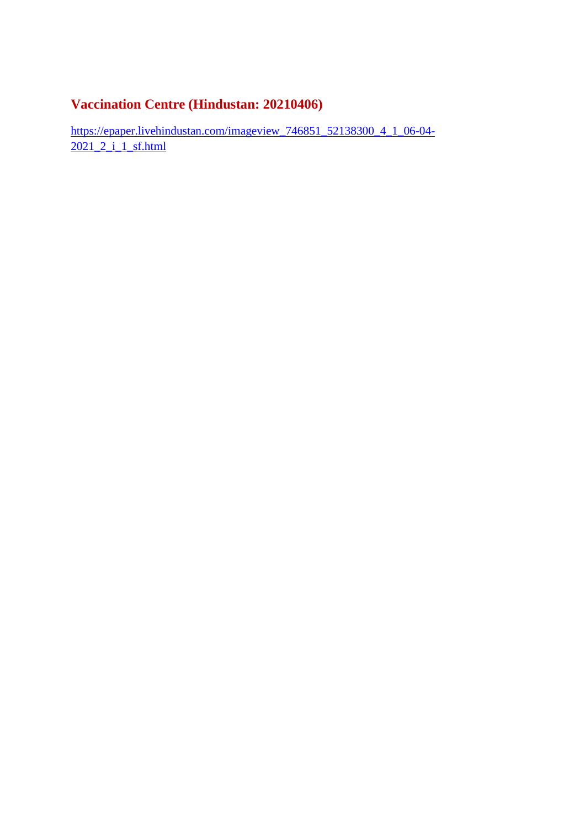#### **Vaccination Centre (Hindustan: 20210406)**

https://epaper.livehindustan.com/imageview\_746851\_52138300\_4\_1\_06-04- 2021\_2\_i\_1\_sf.html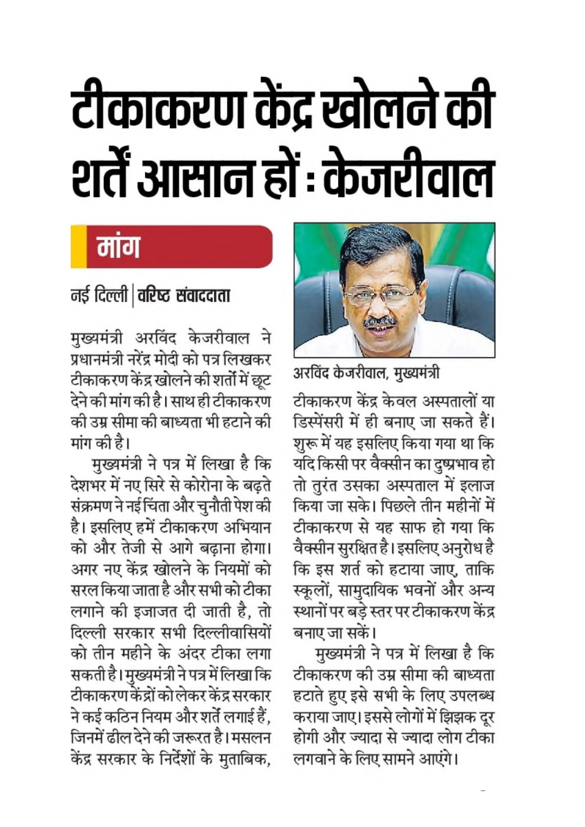# टीकाकरण केंद्र खोलने की शर्तें आसान हों : केजरीवाल

# मांग

### नई दिल्ली | वरिष्ट संवाददाता

मुख्यमंत्री अरविंद केजरीवाल ने प्रधानमंत्री नरेंद्र मोदी को पत्र लिखकर टीकाकरण केंद्र खोलने की शर्तों में छूट देने की मांग की है। साथ ही टीकाकरण की उम्र सीमा की बाध्यता भी हटाने की मांग की है।

मुख्यमंत्री ने पत्र में लिखा है कि देशभर में नए सिरे से कोरोना के बढ़ते संक्रमण ने नई चिंता और चुनौती पेश की है। इसलिए हमें टीकाकरण अभियान को और तेजी से आगे बढ़ाना होगा। अगर नए केंद्र खोलने के नियमों को सरल किया जाता है और सभी को टीका लगाने की इजाजत दी जाती है, तो दिल्ली सरकार सभी दिल्लीवासियों को तीन महीने के अंदर टीका लगा सकती है। मुख्यमंत्री ने पत्र में लिखा कि टीकाकरण केंद्रों को लेकर केंद्र सरकार ने कई कठिन नियम और शर्ते लगाई हैं. जिनमें ढील देने की जरूरत है। मसलन केंद्र सरकार के निर्देशों के मुताबिक,



अरविंद केजरीवाल, मुख्यमंत्री

टीकाकरण केंद्र केवल अस्पतालों या डिस्पेंसरी में ही बनाए जा सकते हैं। शुरू में यह इसलिए किया गया था कि यदि किसी पर वैक्सीन का दुष्प्रभाव हो तो तुरंत उसका अस्पताल में इलाज किया जा सके। पिछले तीन महीनों में टीकाकरण से यह साफ हो गया कि वैक्सीन सुरक्षित है। इसलिए अनुरोध है कि इस शर्त को हटाया जाए, ताकि स्कूलों, सामुदायिक भवनों और अन्य स्थानों पर बड़े स्तर पर टीकाकरण केंद्र बनाए जा सकें।

मुख्यमंत्री ने पत्र में लिखा है कि टीकाकरण की उम्र सीमा की बाध्यता हटाते हुए इसे सभी के लिए उपलब्ध कराया जाए। इससे लोगों में झिझक दूर होगी और ज्यादा से ज्यादा लोग टीका लगवाने के लिए सामने आएंगे।